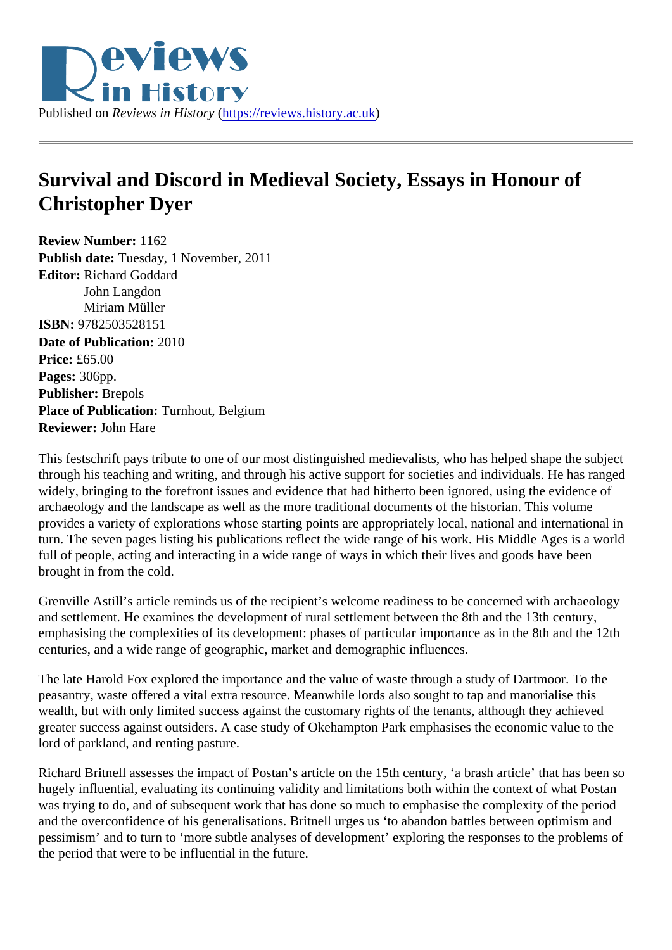## Survival and Discord in Medieval Society, Essays in Honour of Christopher Dyer

Review Number: 1162 Publish date: Tuesday, 1 November, 2011 Editor: Richard Goddard John Langdon Miriam Müller ISBN: 9782503528151 Date of Publication: 2010 Price: £65.00 Pages: 306pp. Publisher: Brepols Place of Publication: Turnhout, Belgium Reviewer: John Hare

This festschrift pays tribute to one of our most distinguished medievalists, who has helped shape the subjection through his teaching and writing, and through his active support for societies and individuals. He has range widely, bringing to the forefront issues and evidence that had hitherto been ignored, using the evidence of archaeology and the landscape as well as the more traditional documents of the historian. This volume provides a variety of explorations whose starting points are appropriately local, national and international i turn. The seven pages listing his publications reflect the wide range of his work. His Middle Ages is a world full of people, acting and interacting in a wide range of ways in which their lives and goods have been brought in from the cold.

Grenville Astill's article reminds us of the recipient's welcome readiness to be concerned with archaeology and settlement. He examines the development of rural settlement between the 8th and the 13th century, emphasising the complexities of its development: phases of particular importance as in the 8th and the 12 centuries, and a wide range of geographic, market and demographic influences.

The late Harold Fox explored the importance and the value of waste through a study of Dartmoor. To the peasantry, waste offered a vital extra resource. Meanwhile lords also sought to tap and manorialise this wealth, but with only limited success against the customary rights of the tenants, although they achieved greater success against outsiders. A case study of Okehampton Park emphasises the economic value to t lord of parkland, and renting pasture.

Richard Britnell assesses the impact of Postan's article on the 15th century, 'a brash article' that has been hugely influential, evaluating its continuing validity and limitations both within the context of what Postan was trying to do, and of subsequent work that has done so much to emphasise the complexity of the period and the overconfidence of his generalisations. Britnell urges us 'to abandon battles between optimism and pessimism' and to turn to 'more subtle analyses of development' exploring the responses to the problems the period that were to be influential in the future.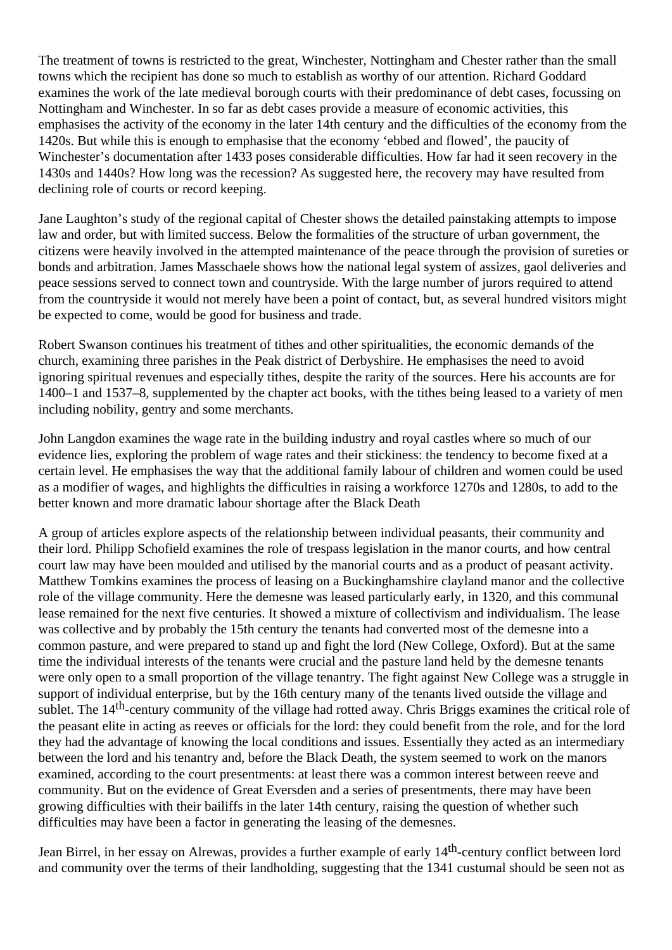The treatment of towns is restricted to the great, Winchester, Nottingham and Chester rather than the small towns which the recipient has done so much to establish as worthy of our attention. Richard Goddard examines the work of the late medieval borough courts with their predominance of debt cases, focussing on Nottingham and Winchester. In so far as debt cases provide a measure of economic activities, this emphasises the activity of the economy in the later 14th century and the difficulties of the economy from the 1420s. But while this is enough to emphasise that the economy 'ebbed and flowed', the paucity of Winchester's documentation after 1433 poses considerable difficulties. How far had it seen recovery in the 1430s and 1440s? How long was the recession? As suggested here, the recovery may have resulted from declining role of courts or record keeping.

Jane Laughton's study of the regional capital of Chester shows the detailed painstaking attempts to impose law and order, but with limited success. Below the formalities of the structure of urban government, the citizens were heavily involved in the attempted maintenance of the peace through the provision of sureties or bonds and arbitration. James Masschaele shows how the national legal system of assizes, gaol deliveries and peace sessions served to connect town and countryside. With the large number of jurors required to attend from the countryside it would not merely have been a point of contact, but, as several hundred visitors might be expected to come, would be good for business and trade.

Robert Swanson continues his treatment of tithes and other spiritualities, the economic demands of the church, examining three parishes in the Peak district of Derbyshire. He emphasises the need to avoid ignoring spiritual revenues and especially tithes, despite the rarity of the sources. Here his accounts are for 1400–1 and 1537–8, supplemented by the chapter act books, with the tithes being leased to a variety of men including nobility, gentry and some merchants.

John Langdon examines the wage rate in the building industry and royal castles where so much of our evidence lies, exploring the problem of wage rates and their stickiness: the tendency to become fixed at a certain level. He emphasises the way that the additional family labour of children and women could be used as a modifier of wages, and highlights the difficulties in raising a workforce 1270s and 1280s, to add to the better known and more dramatic labour shortage after the Black Death

A group of articles explore aspects of the relationship between individual peasants, their community and their lord. Philipp Schofield examines the role of trespass legislation in the manor courts, and how central court law may have been moulded and utilised by the manorial courts and as a product of peasant activity. Matthew Tomkins examines the process of leasing on a Buckinghamshire clayland manor and the collective role of the village community. Here the demesne was leased particularly early, in 1320, and this communal lease remained for the next five centuries. It showed a mixture of collectivism and individualism. The lease was collective and by probably the 15th century the tenants had converted most of the demesne into a common pasture, and were prepared to stand up and fight the lord (New College, Oxford). But at the same time the individual interests of the tenants were crucial and the pasture land held by the demesne tenants were only open to a small proportion of the village tenantry. The fight against New College was a struggle in support of individual enterprise, but by the 16th century many of the tenants lived outside the village and sublet. The 14<sup>th</sup>-century community of the village had rotted away. Chris Briggs examines the critical role of the peasant elite in acting as reeves or officials for the lord: they could benefit from the role, and for the lord they had the advantage of knowing the local conditions and issues. Essentially they acted as an intermediary between the lord and his tenantry and, before the Black Death, the system seemed to work on the manors examined, according to the court presentments: at least there was a common interest between reeve and community. But on the evidence of Great Eversden and a series of presentments, there may have been growing difficulties with their bailiffs in the later 14th century, raising the question of whether such difficulties may have been a factor in generating the leasing of the demesnes.

Jean Birrel, in her essay on Alrewas, provides a further example of early 14th-century conflict between lord and community over the terms of their landholding, suggesting that the 1341 custumal should be seen not as